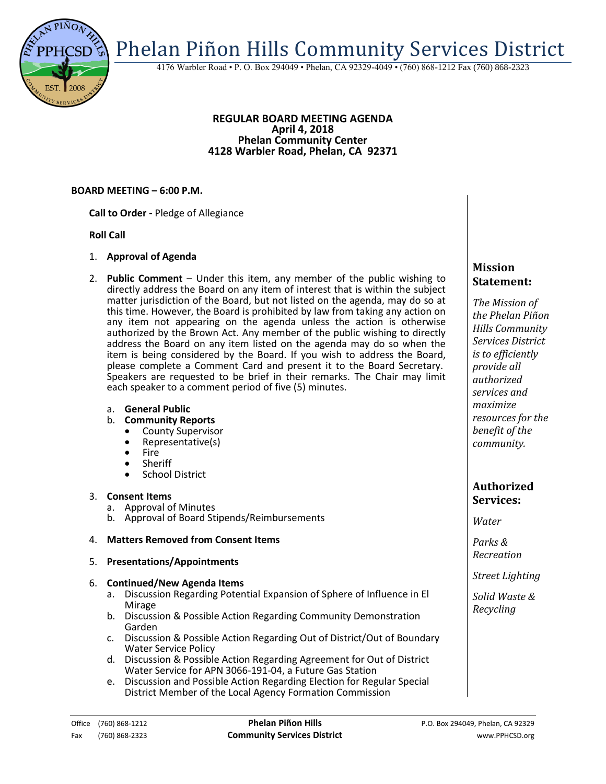Phelan Piñon Hills Community Services District

4176 Warbler Road • P. O. Box 294049 • Phelan, CA 92329-4049 • (760) 868-1212 Fax (760) 868-2323

#### **REGULAR BOARD MEETING AGENDA April 4, 2018 Phelan Community Center 4128 Warbler Road, Phelan, CA 92371**

## **BOARD MEETING – 6:00 P.M.**

**Call to Order -** Pledge of Allegiance

### **Roll Call**

- 1. **Approval of Agenda**
- 2. **Public Comment**  Under this item, any member of the public wishing to directly address the Board on any item of interest that is within the subject matter jurisdiction of the Board, but not listed on the agenda, may do so at this time. However, the Board is prohibited by law from taking any action on any item not appearing on the agenda unless the action is otherwise authorized by the Brown Act. Any member of the public wishing to directly address the Board on any item listed on the agenda may do so when the item is being considered by the Board. If you wish to address the Board, please complete a Comment Card and present it to the Board Secretary. Speakers are requested to be brief in their remarks. The Chair may limit each speaker to a comment period of five (5) minutes.
	- a. **General Public**
	- b. **Community Reports**
		- County Supervisor
		- Representative(s)
		- Fire
		- Sheriff
		- **•** School District

### 3. **Consent Items**

- a. Approval of Minutes
- b. Approval of Board Stipends/Reimbursements

### 4. **Matters Removed from Consent Items**

5. **Presentations/Appointments**

### 6. **Continued/New Agenda Items**

- a. Discussion Regarding Potential Expansion of Sphere of Influence in El Mirage
- b. Discussion & Possible Action Regarding Community Demonstration Garden
- c. Discussion & Possible Action Regarding Out of District/Out of Boundary Water Service Policy
- d. Discussion & Possible Action Regarding Agreement for Out of District Water Service for APN 3066-191-04, a Future Gas Station
- e. Discussion and Possible Action Regarding Election for Regular Special District Member of the Local Agency Formation Commission

# **Mission Statement:**

*The Mission of the Phelan Piñon Hills Community Services District is to efficiently provide all authorized services and maximize resources for the benefit of the community.*

# **Authorized Services:**

*Water*

*Parks & Recreation*

*Street Lighting*

*Solid Waste & Recycling*